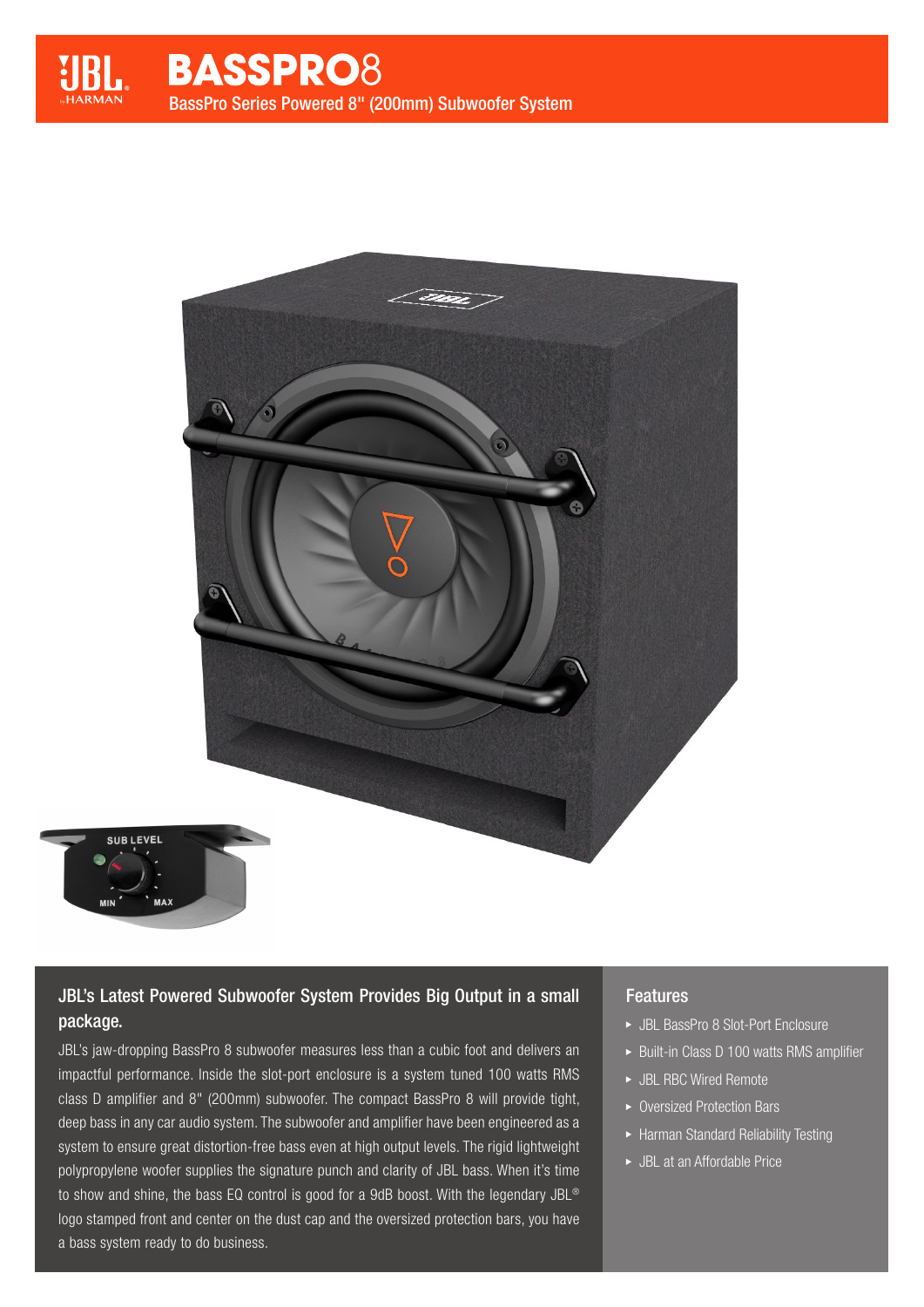

# JBL's Latest Powered Subwoofer System Provides Big Output in a small package.

JBL's jaw-dropping BassPro 8 subwoofer measures less than a cubic foot and delivers an impactful performance. Inside the slot-port enclosure is a system tuned 100 watts RMS class D amplifier and 8" (200mm) subwoofer. The compact BassPro 8 will provide tight, deep bass in any car audio system. The subwoofer and amplifier have been engineered as a system to ensure great distortion-free bass even at high output levels. The rigid lightweight polypropylene woofer supplies the signature punch and clarity of JBL bass. When it's time to show and shine, the bass EQ control is good for a 9dB boost. With the legendary JBL® logo stamped front and center on the dust cap and the oversized protection bars, you have a bass system ready to do business.

## Features

- JBL BassPro 8 Slot-Port Enclosure
- ▶ Built-in Class D 100 watts RMS amplifier
- JBL RBC Wired Remote
- ▶ Oversized Protection Bars
- Harman Standard Reliability Testing
- JBL at an Affordable Price